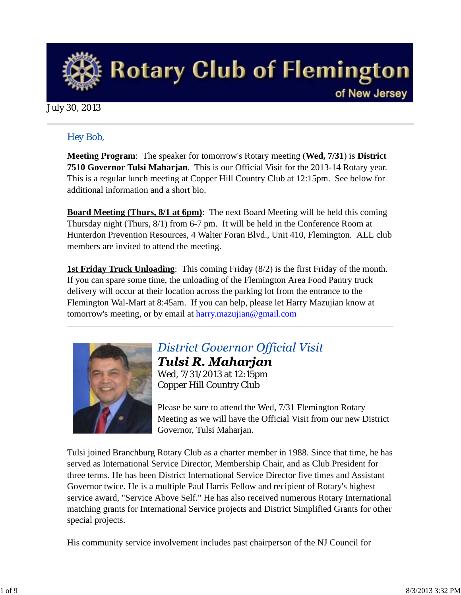

### July 30, 2013

### *Hey Bob,*

**Meeting Program**: The speaker for tomorrow's Rotary meeting (**Wed, 7/31**) is **District 7510 Governor Tulsi Maharjan**. This is our Official Visit for the 2013-14 Rotary year. This is a regular lunch meeting at Copper Hill Country Club at 12:15pm. See below for additional information and a short bio.

**Board Meeting (Thurs, 8/1 at 6pm)**: The next Board Meeting will be held this coming Thursday night (Thurs, 8/1) from 6-7 pm. It will be held in the Conference Room at Hunterdon Prevention Resources, 4 Walter Foran Blvd., Unit 410, Flemington. ALL club members are invited to attend the meeting.

**1st Friday Truck Unloading**: This coming Friday (8/2) is the first Friday of the month. If you can spare some time, the unloading of the Flemington Area Food Pantry truck delivery will occur at their location across the parking lot from the entrance to the Flemington Wal-Mart at 8:45am. If you can help, please let Harry Mazujian know at tomorrow's meeting, or by email at harry.mazujian@gmail.com



### **District Governor Official Visit** Tulsi R. Maharjan Wed, 7/31/2013 at 12:15pm Copper Hill Country Club

Please be sure to attend the Wed, 7/31 Flemington Rotary Meeting as we will have the Official Visit from our new District Governor, Tulsi Maharjan.

Tulsi joined Branchburg Rotary Club as a charter member in 1988. Since that time, he has served as International Service Director, Membership Chair, and as Club President for three terms. He has been District International Service Director five times and Assistant Governor twice. He is a multiple Paul Harris Fellow and recipient of Rotary's highest service award, "Service Above Self." He has also received numerous Rotary International matching grants for International Service projects and District Simplified Grants for other special projects.

His community service involvement includes past chairperson of the NJ Council for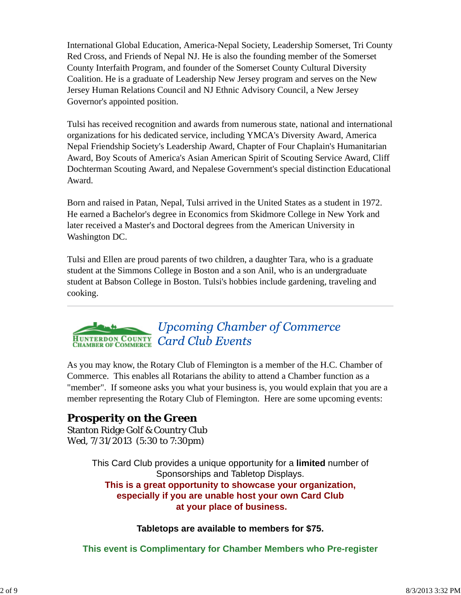International Global Education, America-Nepal Society, Leadership Somerset, Tri County Red Cross, and Friends of Nepal NJ. He is also the founding member of the Somerset County Interfaith Program, and founder of the Somerset County Cultural Diversity Coalition. He is a graduate of Leadership New Jersey program and serves on the New Jersey Human Relations Council and NJ Ethnic Advisory Council, a New Jersey Governor's appointed position.

Tulsi has received recognition and awards from numerous state, national and international organizations for his dedicated service, including YMCA's Diversity Award, America Nepal Friendship Society's Leadership Award, Chapter of Four Chaplain's Humanitarian Award, Boy Scouts of America's Asian American Spirit of Scouting Service Award, Cliff Dochterman Scouting Award, and Nepalese Government's special distinction Educational Award.

Born and raised in Patan, Nepal, Tulsi arrived in the United States as a student in 1972. He earned a Bachelor's degree in Economics from Skidmore College in New York and later received a Master's and Doctoral degrees from the American University in Washington DC.

Tulsi and Ellen are proud parents of two children, a daughter Tara, who is a graduate student at the Simmons College in Boston and a son Anil, who is an undergraduate student at Babson College in Boston. Tulsi's hobbies include gardening, traveling and cooking.

## **Upcoming Chamber of Commerce** HUNTERDON COUNTY Card Club Events

As you may know, the Rotary Club of Flemington is a member of the H.C. Chamber of Commerce. This enables all Rotarians the ability to attend a Chamber function as a "member". If someone asks you what your business is, you would explain that you are a member representing the Rotary Club of Flemington. Here are some upcoming events:

## **Prosperity on the Green**

Stanton Ridge Golf & Country Club Wed, 7/31/2013 (5:30 to 7:30pm)

> This Card Club provides a unique opportunity for a **limited** number of Sponsorships and Tabletop Displays. **This is a great opportunity to showcase your organization, especially if you are unable host your own Card Club at your place of business.**

### **Tabletops are available to members for \$75.**

**This event is Complimentary for Chamber Members who Pre-register**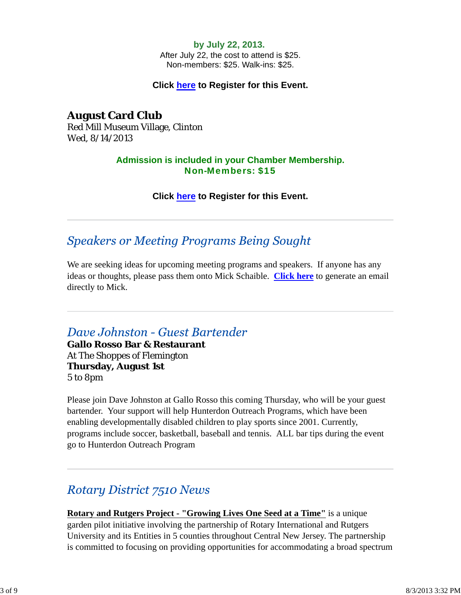#### **by July 22, 2013.**

After July 22, the cost to attend is \$25. Non-members: \$25. Walk-ins: \$25.

#### **Click here to Register for this Event.**

**August Card Club** Red Mill Museum Village, Clinton Wed, 8/14/2013

### **Admission is included in your Chamber Membership.** Non-Members: \$15

**Click here to Register for this Event.**

### **Speakers or Meeting Programs Being Sought**

We are seeking ideas for upcoming meeting programs and speakers. If anyone has any ideas or thoughts, please pass them onto Mick Schaible. **Click here** to generate an email directly to Mick.

### Dave Johnston - Guest Bartender

**Gallo Rosso Bar & Restaurant** At The Shoppes of Flemington **Thursday, August 1st** 5 to 8pm

Please join Dave Johnston at Gallo Rosso this coming Thursday, who will be your guest bartender. Your support will help Hunterdon Outreach Programs, which have been enabling developmentally disabled children to play sports since 2001. Currently, programs include soccer, basketball, baseball and tennis. ALL bar tips during the event go to Hunterdon Outreach Program

## **Rotary District 7510 News**

**Rotary and Rutgers Project - "Growing Lives One Seed at a Time"** is a unique garden pilot initiative involving the partnership of Rotary International and Rutgers University and its Entities in 5 counties throughout Central New Jersey. The partnership is committed to focusing on providing opportunities for accommodating a broad spectrum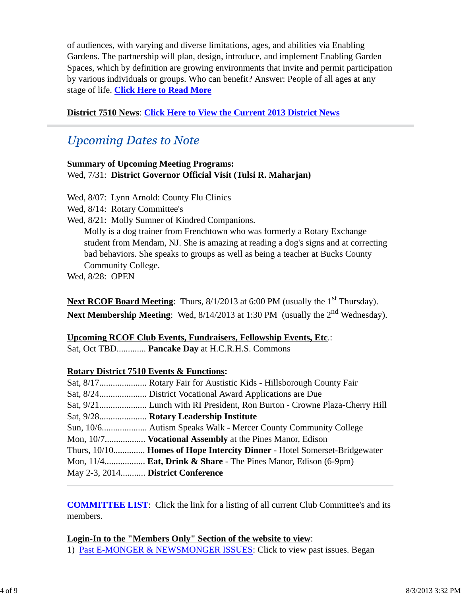of audiences, with varying and diverse limitations, ages, and abilities via Enabling Gardens. The partnership will plan, design, introduce, and implement Enabling Garden Spaces, which by definition are growing environments that invite and permit participation by various individuals or groups. Who can benefit? Answer: People of all ages at any stage of life. **Click Here to Read More**

### **District 7510 News**: **Click Here to View the Current 2013 District News**

## **Upcoming Dates to Note**

#### **Summary of Upcoming Meeting Programs:** Wed, 7/31: **District Governor Official Visit (Tulsi R. Maharjan)**

Wed, 8/07: Lynn Arnold: County Flu Clinics

Wed, 8/14: Rotary Committee's

Wed, 8/21: Molly Sumner of Kindred Companions.

Molly is a dog trainer from Frenchtown who was formerly a Rotary Exchange student from Mendam, NJ. She is amazing at reading a dog's signs and at correcting bad behaviors. She speaks to groups as well as being a teacher at Bucks County Community College.

Wed, 8/28: OPEN

**Next RCOF Board Meeting:** Thurs, 8/1/2013 at 6:00 PM (usually the 1<sup>st</sup> Thursday). **Next Membership Meeting**: Wed, 8/14/2013 at 1:30 PM (usually the 2<sup>nd</sup> Wednesday).

### **Upcoming RCOF Club Events, Fundraisers, Fellowship Events, Etc**.:

Sat, Oct TBD............. **Pancake Day** at H.C.R.H.S. Commons

### **Rotary District 7510 Events & Functions:**

|                                   | Sat, 9/28 Rotary Leadership Institute                                       |
|-----------------------------------|-----------------------------------------------------------------------------|
|                                   |                                                                             |
|                                   | Mon, 10/7 <b>Vocational Assembly</b> at the Pines Manor, Edison             |
|                                   | Thurs, 10/10 Homes of Hope Intercity Dinner - Hotel Somerset-Bridgewater    |
|                                   | Mon, $11/4$ <b>Eat, Drink &amp; Share</b> - The Pines Manor, Edison (6-9pm) |
| May 2-3, 2014 District Conference |                                                                             |

**COMMITTEE LIST**: Click the link for a listing of all current Club Committee's and its members.

### **Login-In to the "Members Only" Section of the website to view**:

1) Past E-MONGER & NEWSMONGER ISSUES: Click to view past issues. Began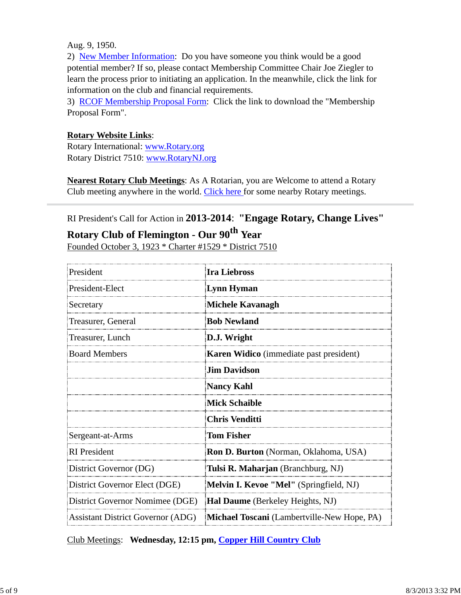Aug. 9, 1950.

2) New Member Information: Do you have someone you think would be a good potential member? If so, please contact Membership Committee Chair Joe Ziegler to learn the process prior to initiating an application. In the meanwhile, click the link for information on the club and financial requirements.

3) RCOF Membership Proposal Form: Click the link to download the "Membership Proposal Form".

### **Rotary Website Links**:

Rotary International: www.Rotary.org Rotary District 7510: www.RotaryNJ.org

**Nearest Rotary Club Meetings**: As A Rotarian, you are Welcome to attend a Rotary Club meeting anywhere in the world. Click here for some nearby Rotary meetings.

### RI President's Call for Action in **2013-2014**: **"Engage Rotary, Change Lives"**

# **Rotary Club of Flemington - Our 90th Year**

Founded October 3, 1923 \* Charter #1529 \* District 7510

| President                                | Ira Liebross                                   |  |  |
|------------------------------------------|------------------------------------------------|--|--|
| President-Elect                          | Lynn Hyman                                     |  |  |
| Secretary                                | <b>Michele Kavanagh</b>                        |  |  |
| Treasurer, General                       | <b>Bob Newland</b>                             |  |  |
| Treasurer, Lunch                         | D.J. Wright                                    |  |  |
| <b>Board Members</b>                     | <b>Karen Widico</b> (immediate past president) |  |  |
|                                          | <b>Jim Davidson</b>                            |  |  |
|                                          | <b>Nancy Kahl</b>                              |  |  |
|                                          | <b>Mick Schaible</b>                           |  |  |
|                                          | <b>Chris Venditti</b>                          |  |  |
| Sergeant-at-Arms                         | <b>Tom Fisher</b>                              |  |  |
| <b>RI</b> President                      | Ron D. Burton (Norman, Oklahoma, USA)          |  |  |
| District Governor (DG)                   | Tulsi R. Maharjan (Branchburg, NJ)             |  |  |
| District Governor Elect (DGE)            | Melvin I. Kevoe "Mel" (Springfield, NJ)        |  |  |
| District Governor Nomimee (DGE)          | <b>Hal Daume</b> (Berkeley Heights, NJ)        |  |  |
| <b>Assistant District Governor (ADG)</b> | Michael Toscani (Lambertville-New Hope, PA)    |  |  |

Club Meetings: **Wednesday, 12:15 pm, Copper Hill Country Club**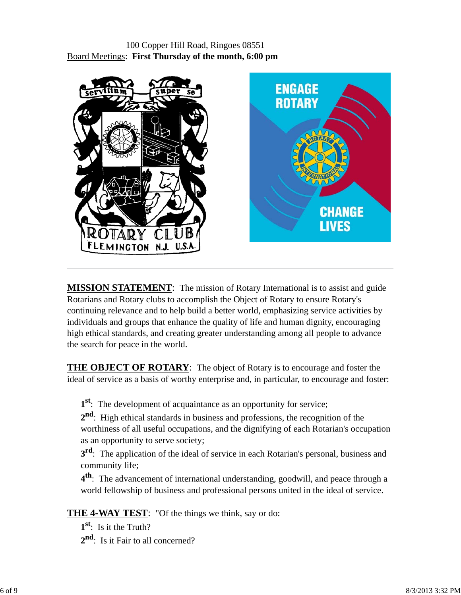### 100 Copper Hill Road, Ringoes 08551 Board Meetings: **First Thursday of the month, 6:00 pm**



**MISSION STATEMENT**: The mission of Rotary International is to assist and guide Rotarians and Rotary clubs to accomplish the Object of Rotary to ensure Rotary's continuing relevance and to help build a better world, emphasizing service activities by individuals and groups that enhance the quality of life and human dignity, encouraging high ethical standards, and creating greater understanding among all people to advance the search for peace in the world.

**THE OBJECT OF ROTARY**: The object of Rotary is to encourage and foster the ideal of service as a basis of worthy enterprise and, in particular, to encourage and foster:

**1st**: The development of acquaintance as an opportunity for service;

**2nd**: High ethical standards in business and professions, the recognition of the worthiness of all useful occupations, and the dignifying of each Rotarian's occupation as an opportunity to serve society;

**3<sup>rd</sup>**: The application of the ideal of service in each Rotarian's personal, business and community life;

**4th**: The advancement of international understanding, goodwill, and peace through a world fellowship of business and professional persons united in the ideal of service.

**THE 4-WAY TEST**: "Of the things we think, say or do:

**1st**: Is it the Truth? 2<sup>nd</sup>: Is it Fair to all concerned?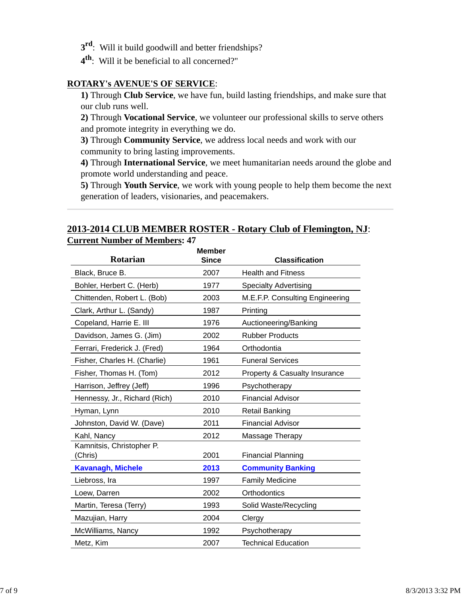- **3rd**: Will it build goodwill and better friendships?
- **4th**: Will it be beneficial to all concerned?"

### **ROTARY's AVENUE'S OF SERVICE**:

**1)** Through **Club Service**, we have fun, build lasting friendships, and make sure that our club runs well.

**2)** Through **Vocational Service**, we volunteer our professional skills to serve others and promote integrity in everything we do.

**3)** Through **Community Service**, we address local needs and work with our community to bring lasting improvements.

**4)** Through **International Service**, we meet humanitarian needs around the globe and promote world understanding and peace.

**5)** Through **Youth Service**, we work with young people to help them become the next generation of leaders, visionaries, and peacemakers.

### **2013-2014 CLUB MEMBER ROSTER - Rotary Club of Flemington, NJ**: **Current Number of Members: 47**

| Rotarian                             | <b>Member</b><br><b>Since</b> | <b>Classification</b>                    |
|--------------------------------------|-------------------------------|------------------------------------------|
| Black, Bruce B.                      | 2007                          | <b>Health and Fitness</b>                |
| Bohler, Herbert C. (Herb)            | 1977                          | <b>Specialty Advertising</b>             |
| Chittenden, Robert L. (Bob)          | 2003                          | M.E.F.P. Consulting Engineering          |
| Clark, Arthur L. (Sandy)             | 1987                          | Printing                                 |
| Copeland, Harrie E. III              | 1976                          | Auctioneering/Banking                    |
| Davidson, James G. (Jim)             | 2002                          | <b>Rubber Products</b>                   |
| Ferrari, Frederick J. (Fred)         | 1964                          | Orthodontia                              |
| Fisher, Charles H. (Charlie)         | 1961                          | <b>Funeral Services</b>                  |
| Fisher, Thomas H. (Tom)              | 2012                          | <b>Property &amp; Casualty Insurance</b> |
| Harrison, Jeffrey (Jeff)             | 1996                          | Psychotherapy                            |
| Hennessy, Jr., Richard (Rich)        | 2010                          | <b>Financial Advisor</b>                 |
| Hyman, Lynn                          | 2010                          | <b>Retail Banking</b>                    |
| Johnston, David W. (Dave)            | 2011                          | <b>Financial Advisor</b>                 |
| Kahl, Nancy                          | 2012                          | Massage Therapy                          |
| Kamnitsis, Christopher P.<br>(Chris) | 2001                          | <b>Financial Planning</b>                |
| <b>Kavanagh, Michele</b>             | 2013                          | <b>Community Banking</b>                 |
| Liebross, Ira                        | 1997                          | <b>Family Medicine</b>                   |
| Loew, Darren                         | 2002                          | Orthodontics                             |
| Martin, Teresa (Terry)               | 1993                          | Solid Waste/Recycling                    |
| Mazujian, Harry                      | 2004                          | Clergy                                   |
| McWilliams, Nancy                    | 1992                          | Psychotherapy                            |
| Metz, Kim                            | 2007                          | <b>Technical Education</b>               |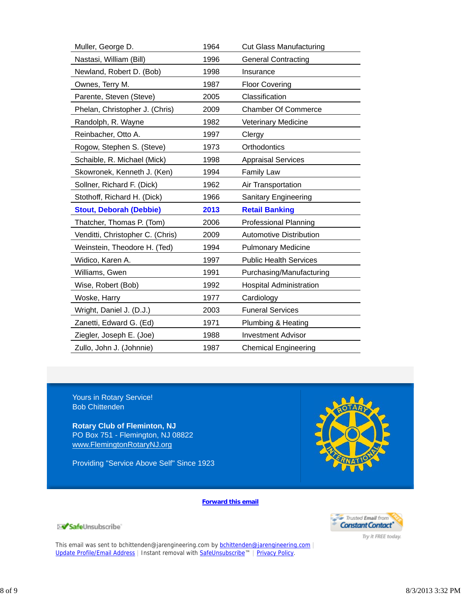| Muller, George D.                | 1964 | <b>Cut Glass Manufacturing</b> |
|----------------------------------|------|--------------------------------|
| Nastasi, William (Bill)          | 1996 | <b>General Contracting</b>     |
| Newland, Robert D. (Bob)         | 1998 | Insurance                      |
| Ownes, Terry M.                  | 1987 | <b>Floor Covering</b>          |
| Parente, Steven (Steve)          | 2005 | Classification                 |
| Phelan, Christopher J. (Chris)   | 2009 | <b>Chamber Of Commerce</b>     |
| Randolph, R. Wayne               | 1982 | Veterinary Medicine            |
| Reinbacher, Otto A.              | 1997 | Clergy                         |
| Rogow, Stephen S. (Steve)        | 1973 | Orthodontics                   |
| Schaible, R. Michael (Mick)      | 1998 | <b>Appraisal Services</b>      |
| Skowronek, Kenneth J. (Ken)      | 1994 | <b>Family Law</b>              |
| Sollner, Richard F. (Dick)       | 1962 | Air Transportation             |
| Stothoff, Richard H. (Dick)      | 1966 | Sanitary Engineering           |
| <b>Stout, Deborah (Debbie)</b>   | 2013 | <b>Retail Banking</b>          |
| Thatcher, Thomas P. (Tom)        | 2006 | <b>Professional Planning</b>   |
| Venditti, Christopher C. (Chris) | 2009 | <b>Automotive Distribution</b> |
| Weinstein, Theodore H. (Ted)     | 1994 | <b>Pulmonary Medicine</b>      |
| Widico, Karen A.                 | 1997 | <b>Public Health Services</b>  |
| Williams, Gwen                   | 1991 | Purchasing/Manufacturing       |
| Wise, Robert (Bob)               | 1992 | <b>Hospital Administration</b> |
| Woske, Harry                     | 1977 | Cardiology                     |
| Wright, Daniel J. (D.J.)         | 2003 | <b>Funeral Services</b>        |
| Zanetti, Edward G. (Ed)          | 1971 | Plumbing & Heating             |
| Ziegler, Joseph E. (Joe)         | 1988 | <b>Investment Advisor</b>      |
| Zullo, John J. (Johnnie)         | 1987 | <b>Chemical Engineering</b>    |

Yours in Rotary Service! Bob Chittenden

SafeUnsubscribe

**Rotary Club of Fleminton, NJ** PO Box 751 - Flemington, NJ 08822 www.FlemingtonRotaryNJ.org

Providing "Service Above Self" Since 1923



**Forward this email**



Try it FREE today.

This email was sent to bchittenden@jarengineering.com by bchittenden@jarengineering.com Update Profile/Email Address | Instant removal with SafeUnsubscribe™ | Privacy Policy.